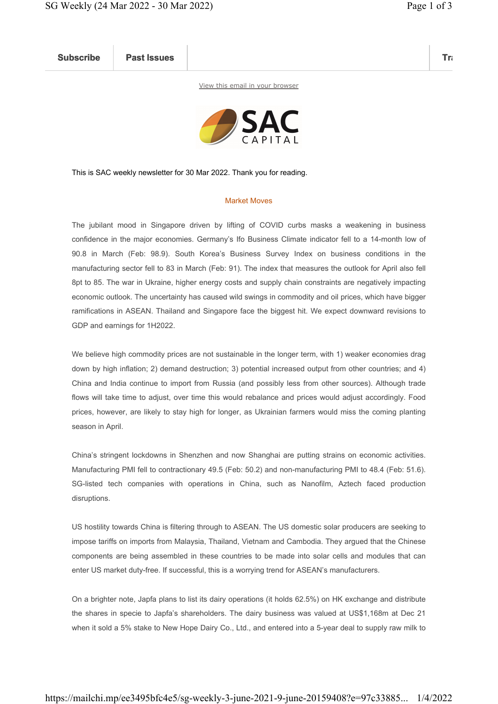Subscribe Past Issues Translate Past Issues Translate Past Issue Inc. 2014 and 2014 and 2014 and 2014 and 2014

View this email in your browser



This is SAC weekly newsletter for 30 Mar 2022. Thank you for reading.

## Market Moves

The jubilant mood in Singapore driven by lifting of COVID curbs masks a weakening in business confidence in the major economies. Germany's Ifo Business Climate indicator fell to a 14-month low of 90.8 in March (Feb: 98.9). South Korea's Business Survey Index on business conditions in the manufacturing sector fell to 83 in March (Feb: 91). The index that measures the outlook for April also fell 8pt to 85. The war in Ukraine, higher energy costs and supply chain constraints are negatively impacting economic outlook. The uncertainty has caused wild swings in commodity and oil prices, which have bigger ramifications in ASEAN. Thailand and Singapore face the biggest hit. We expect downward revisions to GDP and earnings for 1H2022.

We believe high commodity prices are not sustainable in the longer term, with 1) weaker economies drag down by high inflation; 2) demand destruction; 3) potential increased output from other countries; and 4) China and India continue to import from Russia (and possibly less from other sources). Although trade flows will take time to adjust, over time this would rebalance and prices would adjust accordingly. Food prices, however, are likely to stay high for longer, as Ukrainian farmers would miss the coming planting season in April.

China's stringent lockdowns in Shenzhen and now Shanghai are putting strains on economic activities. Manufacturing PMI fell to contractionary 49.5 (Feb: 50.2) and non-manufacturing PMI to 48.4 (Feb: 51.6). SG-listed tech companies with operations in China, such as Nanofilm, Aztech faced production disruptions.

US hostility towards China is filtering through to ASEAN. The US domestic solar producers are seeking to impose tariffs on imports from Malaysia, Thailand, Vietnam and Cambodia. They argued that the Chinese components are being assembled in these countries to be made into solar cells and modules that can enter US market duty-free. If successful, this is a worrying trend for ASEAN's manufacturers.

On a brighter note, Japfa plans to list its dairy operations (it holds 62.5%) on HK exchange and distribute the shares in specie to Japfa's shareholders. The dairy business was valued at US\$1,168m at Dec 21 when it sold a 5% stake to New Hope Dairy Co., Ltd., and entered into a 5-year deal to supply raw milk to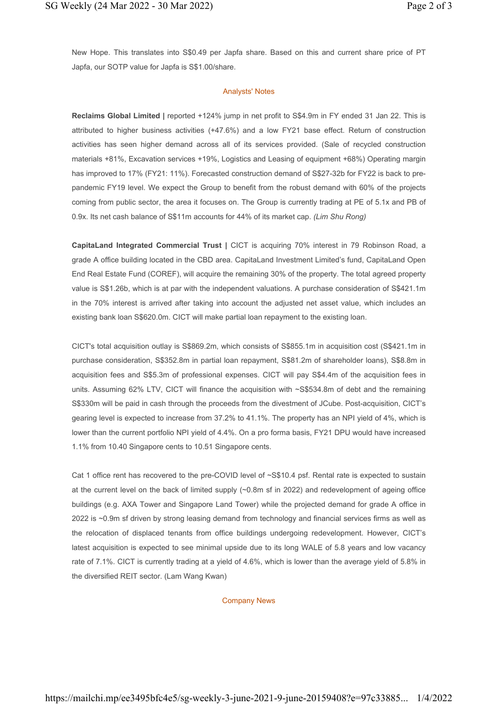New Hope. This translates into S\$0.49 per Japfa share. Based on this and current share price of PT Japfa, our SOTP value for Japfa is S\$1.00/share.

## Analysts' Notes

Reclaims Global Limited | reported +124% jump in net profit to S\$4.9m in FY ended 31 Jan 22. This is attributed to higher business activities (+47.6%) and a low FY21 base effect. Return of construction activities has seen higher demand across all of its services provided. (Sale of recycled construction materials +81%, Excavation services +19%, Logistics and Leasing of equipment +68%) Operating margin has improved to 17% (FY21: 11%). Forecasted construction demand of S\$27-32b for FY22 is back to prepandemic FY19 level. We expect the Group to benefit from the robust demand with 60% of the projects coming from public sector, the area it focuses on. The Group is currently trading at PE of 5.1x and PB of 0.9x. Its net cash balance of S\$11m accounts for 44% of its market cap. (Lim Shu Rong)

CapitaLand Integrated Commercial Trust | CICT is acquiring 70% interest in 79 Robinson Road, a grade A office building located in the CBD area. CapitaLand Investment Limited's fund, CapitaLand Open End Real Estate Fund (COREF), will acquire the remaining 30% of the property. The total agreed property value is S\$1.26b, which is at par with the independent valuations. A purchase consideration of S\$421.1m in the 70% interest is arrived after taking into account the adjusted net asset value, which includes an existing bank loan S\$620.0m. CICT will make partial loan repayment to the existing loan.

CICT's total acquisition outlay is S\$869.2m, which consists of S\$855.1m in acquisition cost (S\$421.1m in purchase consideration, S\$352.8m in partial loan repayment, S\$81.2m of shareholder loans), S\$8.8m in acquisition fees and S\$5.3m of professional expenses. CICT will pay S\$4.4m of the acquisition fees in units. Assuming 62% LTV, CICT will finance the acquisition with ~S\$534.8m of debt and the remaining S\$330m will be paid in cash through the proceeds from the divestment of JCube. Post-acquisition, CICT's gearing level is expected to increase from 37.2% to 41.1%. The property has an NPI yield of 4%, which is lower than the current portfolio NPI yield of 4.4%. On a pro forma basis, FY21 DPU would have increased 1.1% from 10.40 Singapore cents to 10.51 Singapore cents.

Cat 1 office rent has recovered to the pre-COVID level of ~S\$10.4 psf. Rental rate is expected to sustain at the current level on the back of limited supply (~0.8m sf in 2022) and redevelopment of ageing office buildings (e.g. AXA Tower and Singapore Land Tower) while the projected demand for grade A office in 2022 is ~0.9m sf driven by strong leasing demand from technology and financial services firms as well as the relocation of displaced tenants from office buildings undergoing redevelopment. However, CICT's latest acquisition is expected to see minimal upside due to its long WALE of 5.8 years and low vacancy rate of 7.1%. CICT is currently trading at a yield of 4.6%, which is lower than the average yield of 5.8% in the diversified REIT sector. (Lam Wang Kwan)

## Company News